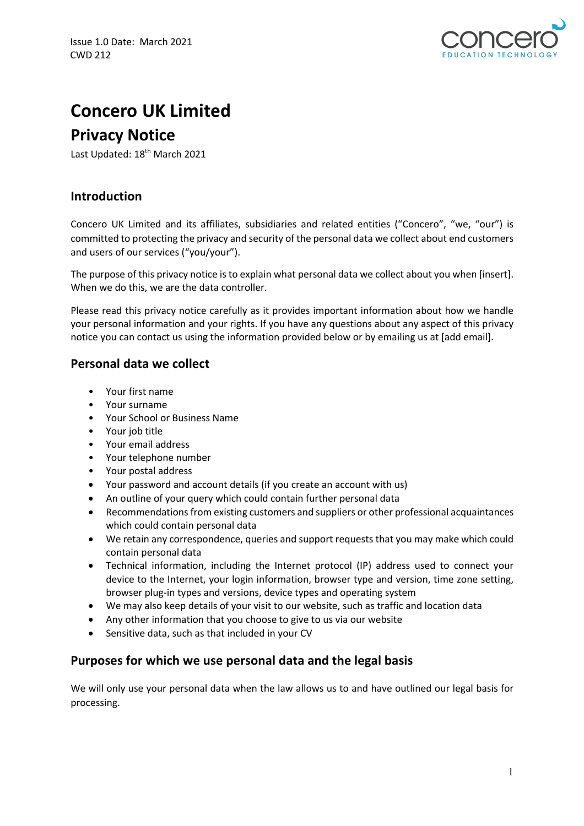

# **Concero UK Limited**

# **Privacy Notice**

Last Updated: 18<sup>th</sup> March 2021

# **Introduction**

Concero UK Limited and its affiliates, subsidiaries and related entities ("Concero", "we, "our") is committed to protecting the privacy and security of the personal data we collect about end customers and users of our services ("you/your").

The purpose of this privacy notice is to explain what personal data we collect about you when [insert]. When we do this, we are the data controller.

Please read this privacy notice carefully as it provides important information about how we handle your personal information and your rights. If you have any questions about any aspect of this privacy notice you can contact us using the information provided below or by emailing us at [add email].

# **Personal data we collect**

- Your first name
- Your surname
- Your School or Business Name
- Your job title
- Your email address
- Your telephone number
- Your postal address
- Your password and account details (if you create an account with us)
- An outline of your query which could contain further personal data
- Recommendations from existing customers and suppliers or other professional acquaintances which could contain personal data
- We retain any correspondence, queries and support requests that you may make which could contain personal data
- Technical information, including the Internet protocol (IP) address used to connect your device to the Internet, your login information, browser type and version, time zone setting, browser plug-in types and versions, device types and operating system
- We may also keep details of your visit to our website, such as traffic and location data
- Any other information that you choose to give to us via our website
- Sensitive data, such as that included in your CV

#### **Purposes for which we use personal data and the legal basis**

We will only use your personal data when the law allows us to and have outlined our legal basis for processing.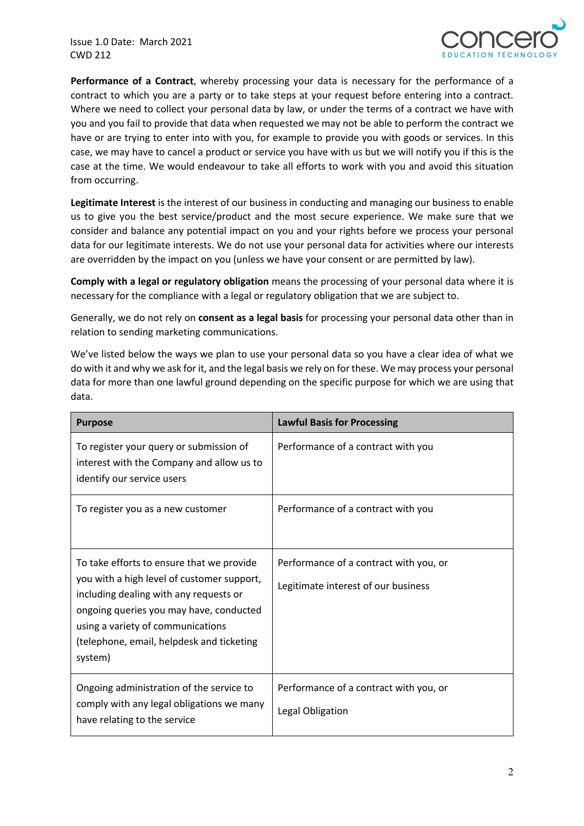Issue 1.0 Date: March 2021 CWD 212



**Performance of a Contract**, whereby processing your data is necessary for the performance of a contract to which you are a party or to take steps at your request before entering into a contract. Where we need to collect your personal data by law, or under the terms of a contract we have with you and you fail to provide that data when requested we may not be able to perform the contract we have or are trying to enter into with you, for example to provide you with goods or services. In this case, we may have to cancel a product or service you have with us but we will notify you if this is the case at the time. We would endeavour to take all efforts to work with you and avoid this situation from occurring.

**Legitimate Interest** is the interest of our business in conducting and managing our business to enable us to give you the best service/product and the most secure experience. We make sure that we consider and balance any potential impact on you and your rights before we process your personal data for our legitimate interests. We do not use your personal data for activities where our interests are overridden by the impact on you (unless we have your consent or are permitted by law).

**Comply with a legal or regulatory obligation** means the processing of your personal data where it is necessary for the compliance with a legal or regulatory obligation that we are subject to.

Generally, we do not rely on **consent as a legal basis** for processing your personal data other than in relation to sending marketing communications.

We've listed below the ways we plan to use your personal data so you have a clear idea of what we do with it and why we ask for it, and the legal basis we rely on for these. We may process your personal data for more than one lawful ground depending on the specific purpose for which we are using that data.

| <b>Purpose</b>                                                                                                                                                                                                                                                            | <b>Lawful Basis for Processing</b>                                            |
|---------------------------------------------------------------------------------------------------------------------------------------------------------------------------------------------------------------------------------------------------------------------------|-------------------------------------------------------------------------------|
| To register your query or submission of<br>interest with the Company and allow us to<br>identify our service users                                                                                                                                                        | Performance of a contract with you                                            |
| To register you as a new customer                                                                                                                                                                                                                                         | Performance of a contract with you                                            |
| To take efforts to ensure that we provide<br>you with a high level of customer support,<br>including dealing with any requests or<br>ongoing queries you may have, conducted<br>using a variety of communications<br>(telephone, email, helpdesk and ticketing<br>system) | Performance of a contract with you, or<br>Legitimate interest of our business |
| Ongoing administration of the service to<br>comply with any legal obligations we many<br>have relating to the service                                                                                                                                                     | Performance of a contract with you, or<br>Legal Obligation                    |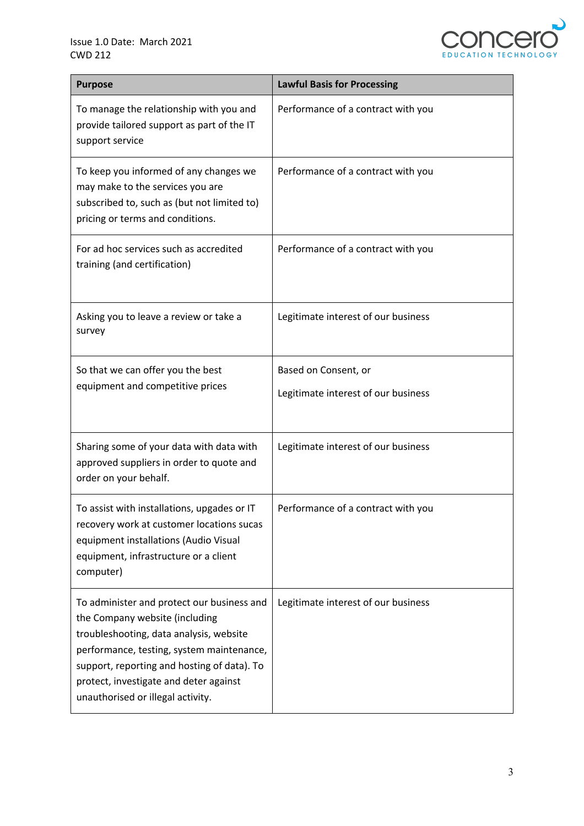

| <b>Purpose</b>                                                                                                                                                                                                                                                                                     | <b>Lawful Basis for Processing</b>  |
|----------------------------------------------------------------------------------------------------------------------------------------------------------------------------------------------------------------------------------------------------------------------------------------------------|-------------------------------------|
| To manage the relationship with you and<br>provide tailored support as part of the IT<br>support service                                                                                                                                                                                           | Performance of a contract with you  |
| To keep you informed of any changes we<br>may make to the services you are<br>subscribed to, such as (but not limited to)<br>pricing or terms and conditions.                                                                                                                                      | Performance of a contract with you  |
| For ad hoc services such as accredited<br>training (and certification)                                                                                                                                                                                                                             | Performance of a contract with you  |
| Asking you to leave a review or take a<br>survey                                                                                                                                                                                                                                                   | Legitimate interest of our business |
| So that we can offer you the best<br>equipment and competitive prices                                                                                                                                                                                                                              | Based on Consent, or                |
|                                                                                                                                                                                                                                                                                                    | Legitimate interest of our business |
| Sharing some of your data with data with<br>approved suppliers in order to quote and<br>order on your behalf.                                                                                                                                                                                      | Legitimate interest of our business |
| To assist with installations, upgades or IT<br>recovery work at customer locations sucas<br>equipment installations (Audio Visual<br>equipment, infrastructure or a client<br>computer)                                                                                                            | Performance of a contract with you  |
| To administer and protect our business and<br>the Company website (including<br>troubleshooting, data analysis, website<br>performance, testing, system maintenance,<br>support, reporting and hosting of data). To<br>protect, investigate and deter against<br>unauthorised or illegal activity. | Legitimate interest of our business |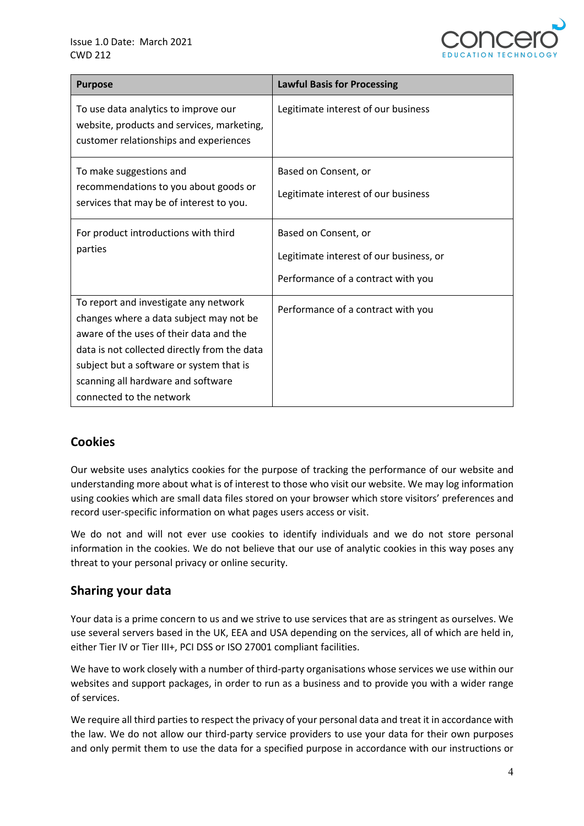

| <b>Purpose</b>                                                                                                                                                                                                                                                                            | <b>Lawful Basis for Processing</b>                                                                    |
|-------------------------------------------------------------------------------------------------------------------------------------------------------------------------------------------------------------------------------------------------------------------------------------------|-------------------------------------------------------------------------------------------------------|
| To use data analytics to improve our<br>website, products and services, marketing,<br>customer relationships and experiences                                                                                                                                                              | Legitimate interest of our business                                                                   |
| To make suggestions and<br>recommendations to you about goods or<br>services that may be of interest to you.                                                                                                                                                                              | Based on Consent, or<br>Legitimate interest of our business                                           |
| For product introductions with third<br>parties                                                                                                                                                                                                                                           | Based on Consent, or<br>Legitimate interest of our business, or<br>Performance of a contract with you |
| To report and investigate any network<br>changes where a data subject may not be<br>aware of the uses of their data and the<br>data is not collected directly from the data<br>subject but a software or system that is<br>scanning all hardware and software<br>connected to the network | Performance of a contract with you                                                                    |

# **Cookies**

Our website uses analytics cookies for the purpose of tracking the performance of our website and understanding more about what is of interest to those who visit our website. We may log information using cookies which are small data files stored on your browser which store visitors' preferences and record user-specific information on what pages users access or visit.

We do not and will not ever use cookies to identify individuals and we do not store personal information in the cookies. We do not believe that our use of analytic cookies in this way poses any threat to your personal privacy or online security.

#### **Sharing your data**

Your data is a prime concern to us and we strive to use services that are as stringent as ourselves. We use several servers based in the UK, EEA and USA depending on the services, all of which are held in, either Tier IV or Tier III+, PCI DSS or ISO 27001 compliant facilities.

We have to work closely with a number of third-party organisations whose services we use within our websites and support packages, in order to run as a business and to provide you with a wider range of services.

We require all third parties to respect the privacy of your personal data and treat it in accordance with the law. We do not allow our third-party service providers to use your data for their own purposes and only permit them to use the data for a specified purpose in accordance with our instructions or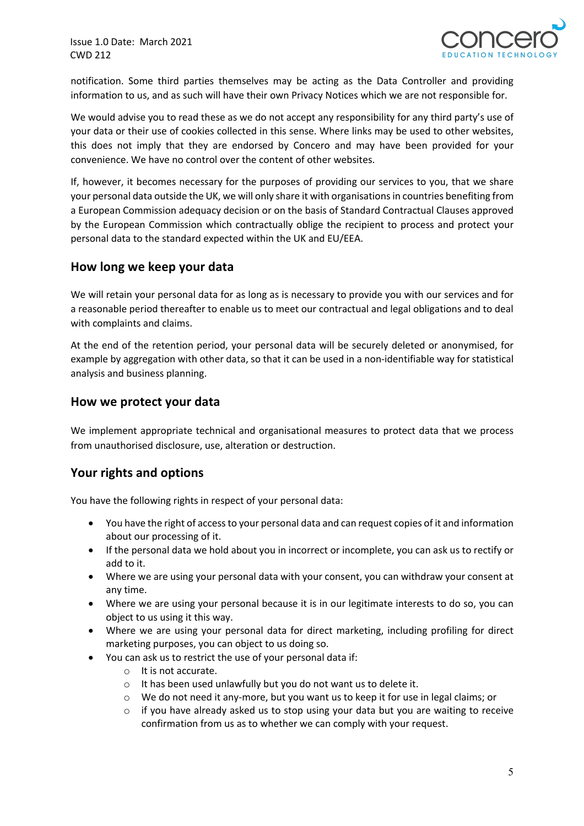

notification. Some third parties themselves may be acting as the Data Controller and providing information to us, and as such will have their own Privacy Notices which we are not responsible for.

We would advise you to read these as we do not accept any responsibility for any third party's use of your data or their use of cookies collected in this sense. Where links may be used to other websites, this does not imply that they are endorsed by Concero and may have been provided for your convenience. We have no control over the content of other websites.

If, however, it becomes necessary for the purposes of providing our services to you, that we share your personal data outside the UK, we will only share it with organisations in countries benefiting from a European Commission adequacy decision or on the basis of Standard Contractual Clauses approved by the European Commission which contractually oblige the recipient to process and protect your personal data to the standard expected within the UK and EU/EEA.

#### **How long we keep your data**

We will retain your personal data for as long as is necessary to provide you with our services and for a reasonable period thereafter to enable us to meet our contractual and legal obligations and to deal with complaints and claims.

At the end of the retention period, your personal data will be securely deleted or anonymised, for example by aggregation with other data, so that it can be used in a non-identifiable way for statistical analysis and business planning.

#### **How we protect your data**

We implement appropriate technical and organisational measures to protect data that we process from unauthorised disclosure, use, alteration or destruction.

# **Your rights and options**

You have the following rights in respect of your personal data:

- You have the right of access to your personal data and can request copies of it and information about our processing of it.
- If the personal data we hold about you in incorrect or incomplete, you can ask us to rectify or add to it.
- Where we are using your personal data with your consent, you can withdraw your consent at any time.
- Where we are using your personal because it is in our legitimate interests to do so, you can object to us using it this way.
- Where we are using your personal data for direct marketing, including profiling for direct marketing purposes, you can object to us doing so.
- You can ask us to restrict the use of your personal data if:
	- o It is not accurate.
	- o It has been used unlawfully but you do not want us to delete it.
	- o We do not need it any-more, but you want us to keep it for use in legal claims; or
	- $\circ$  if you have already asked us to stop using your data but you are waiting to receive confirmation from us as to whether we can comply with your request.